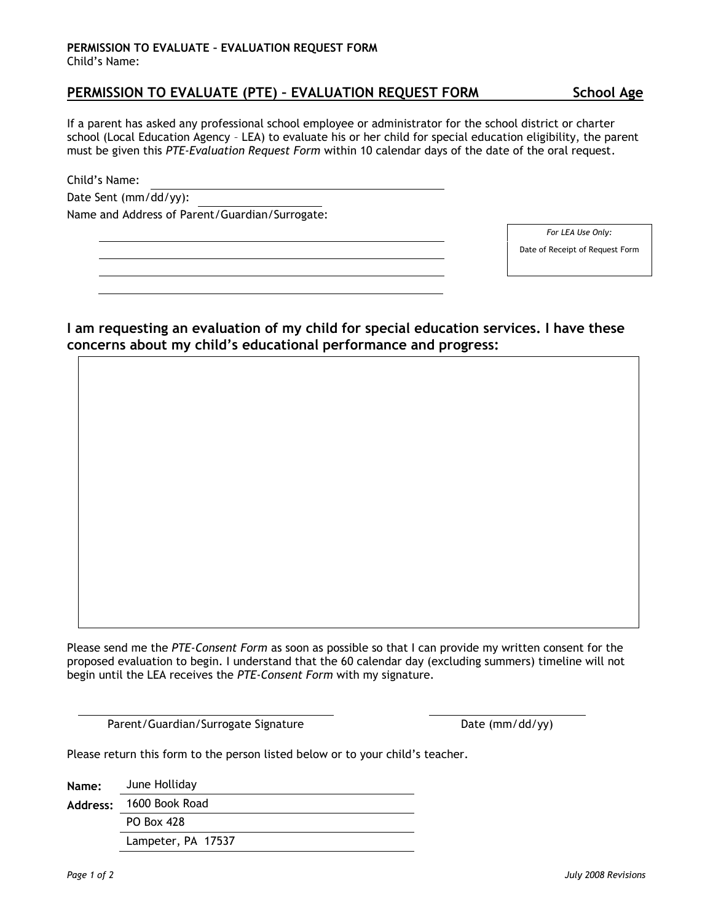## **PERMISSION TO EVALUATE – EVALUATION REQUEST FORM** Child's Name:

# **PERMISSION TO EVALUATE (PTE) – EVALUATION REQUEST FORM School Age**

If a parent has asked any professional school employee or administrator for the school district or charter school (Local Education Agency – LEA) to evaluate his or her child for special education eligibility, the parent must be given this *PTE-Evaluation Request Form* within 10 calendar days of the date of the oral request.

Child's Name:

| Date Sent (mm/dd/yy): |  |  |
|-----------------------|--|--|
|-----------------------|--|--|

Name and Address of Parent/Guardian/Surrogate:

*For LEA Use Only:*

Date of Receipt of Request Form

**I am requesting an evaluation of my child for special education services. I have these concerns about my child's educational performance and progress:**

Please send me the *PTE-Consent Form* as soon as possible so that I can provide my written consent for the proposed evaluation to begin. I understand that the 60 calendar day (excluding summers) timeline will not begin until the LEA receives the *PTE-Consent Form* with my signature.

Parent/Guardian/Surrogate Signature Date (mm/dd/yy)

Please return this form to the person listed below or to your child's teacher.

**Name:** June Holliday **Address:** 1600 Book Road PO Box 428 Lampeter, PA 17537